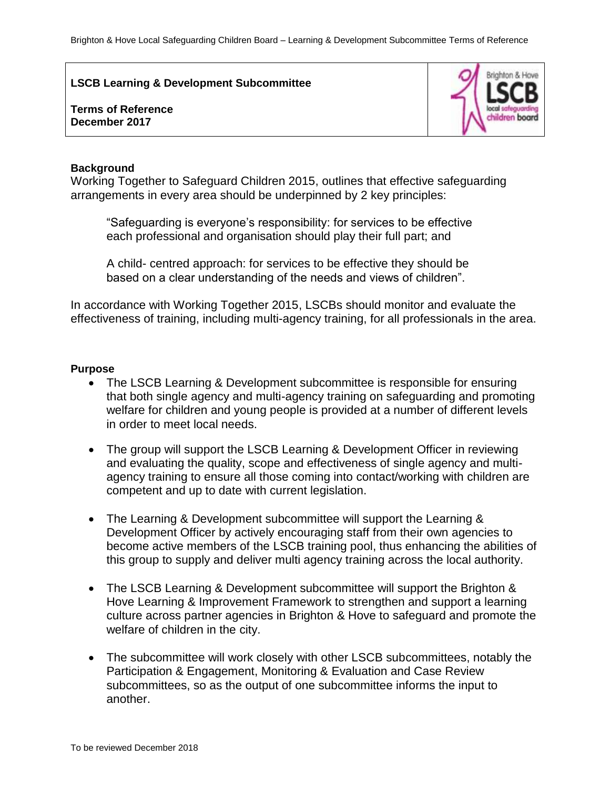**LSCB Learning & Development Subcommittee**

# **Terms of Reference December 2017**



### **Background**

Working Together to Safeguard Children 2015, outlines that effective safeguarding arrangements in every area should be underpinned by 2 key principles:

"Safeguarding is everyone's responsibility: for services to be effective each professional and organisation should play their full part; and

A child- centred approach: for services to be effective they should be based on a clear understanding of the needs and views of children".

In accordance with Working Together 2015, LSCBs should monitor and evaluate the effectiveness of training, including multi-agency training, for all professionals in the area.

## **Purpose**

- The LSCB Learning & Development subcommittee is responsible for ensuring that both single agency and multi-agency training on safeguarding and promoting welfare for children and young people is provided at a number of different levels in order to meet local needs.
- The group will support the LSCB Learning & Development Officer in reviewing and evaluating the quality, scope and effectiveness of single agency and multiagency training to ensure all those coming into contact/working with children are competent and up to date with current legislation.
- The Learning & Development subcommittee will support the Learning & Development Officer by actively encouraging staff from their own agencies to become active members of the LSCB training pool, thus enhancing the abilities of this group to supply and deliver multi agency training across the local authority.
- The LSCB Learning & Development subcommittee will support the Brighton & Hove Learning & Improvement Framework to strengthen and support a learning culture across partner agencies in Brighton & Hove to safeguard and promote the welfare of children in the city.
- The subcommittee will work closely with other LSCB subcommittees, notably the Participation & Engagement, Monitoring & Evaluation and Case Review subcommittees, so as the output of one subcommittee informs the input to another.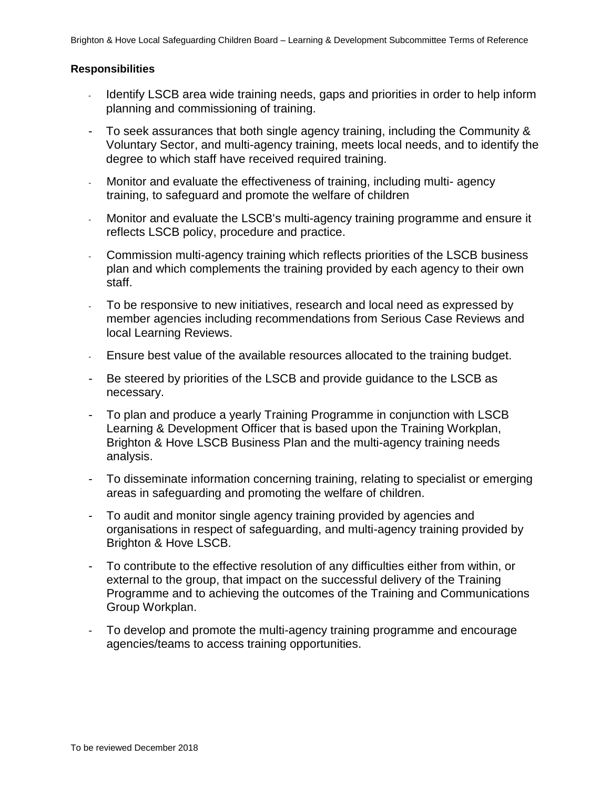### **Responsibilities**

- Identify LSCB area wide training needs, gaps and priorities in order to help inform planning and commissioning of training.
- To seek assurances that both single agency training, including the Community & Voluntary Sector, and multi-agency training, meets local needs, and to identify the degree to which staff have received required training.
- Monitor and evaluate the effectiveness of training, including multi- agency training, to safeguard and promote the welfare of children
- Monitor and evaluate the LSCB's multi-agency training programme and ensure it reflects LSCB policy, procedure and practice.
- Commission multi-agency training which reflects priorities of the LSCB business plan and which complements the training provided by each agency to their own staff.
- To be responsive to new initiatives, research and local need as expressed by member agencies including recommendations from Serious Case Reviews and local Learning Reviews.
- Ensure best value of the available resources allocated to the training budget.
- Be steered by priorities of the LSCB and provide guidance to the LSCB as necessary.
- To plan and produce a yearly Training Programme in conjunction with LSCB Learning & Development Officer that is based upon the Training Workplan, Brighton & Hove LSCB Business Plan and the multi-agency training needs analysis.
- To disseminate information concerning training, relating to specialist or emerging areas in safeguarding and promoting the welfare of children.
- To audit and monitor single agency training provided by agencies and organisations in respect of safeguarding, and multi-agency training provided by Brighton & Hove LSCB.
- To contribute to the effective resolution of any difficulties either from within, or external to the group, that impact on the successful delivery of the Training Programme and to achieving the outcomes of the Training and Communications Group Workplan.
- To develop and promote the multi-agency training programme and encourage agencies/teams to access training opportunities.